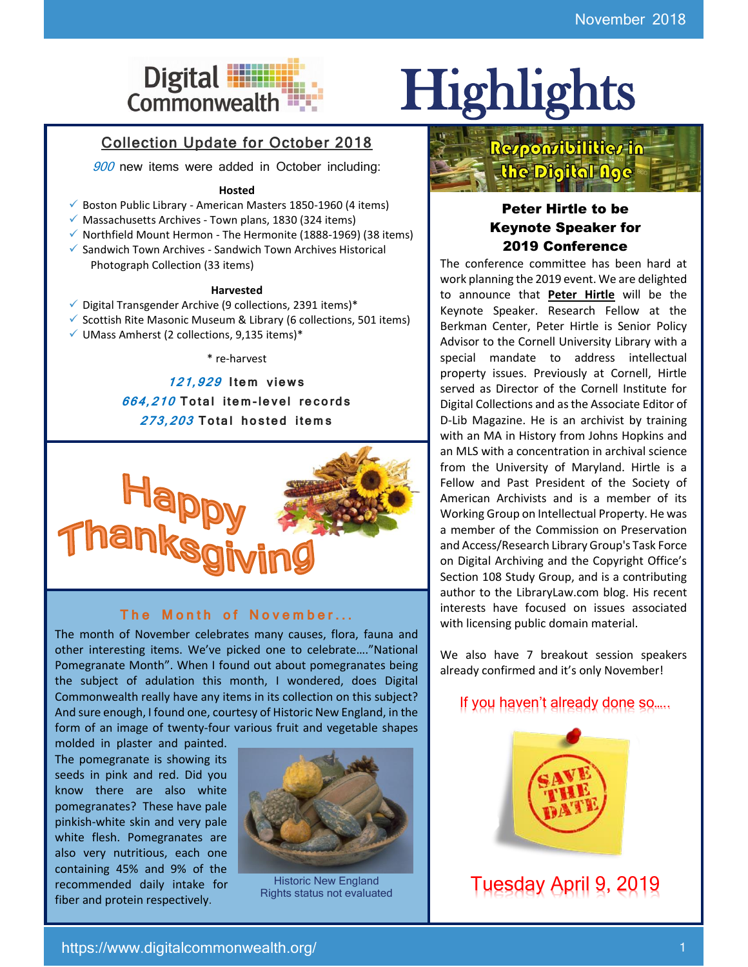# Digital **Highlights**

### Collection Update for October 2018

900 new items were added in October including:

#### **Hosted**

- ✓ Boston Public Library American Masters 1850-1960 (4 items)
- $\checkmark$  Massachusetts Archives Town plans, 1830 (324 items)
- $\checkmark$  Northfield Mount Hermon The Hermonite (1888-1969) (38 items)
- ✓ Sandwich Town Archives Sandwich Town Archives Historical Photograph Collection (33 items)

#### **Harvested**

- $\checkmark$  Digital Transgender Archive (9 collections, 2391 items)\*
- ✓ Scottish Rite Masonic Museum & Library (6 collections, 501 items)
- ✓ UMass Amherst (2 collections, 9,135 items)\*

\* re-harvest

**121,929 I tem** v**iew s 664,210 To tal i tem-le vel re co rds 273,203 To tal ho s ted i tem s**



#### The Month of November...

The month of November celebrates many causes, flora, fauna and other interesting items. We've picked one to celebrate…."National Pomegranate Month". When I found out about pomegranates being the subject of adulation this month, I wondered, does Digital Commonwealth really have any items in its collection on this subject? And sure enough, I found one, courtesy of Historic New England, in the form of an image of twenty-four various fruit and vegetable shapes

molded in plaster and painted. The pomegranate is showing its seeds in pink and red. Did you know there are also white pomegranates? These have pale pinkish-white skin and very pale white flesh. Pomegranates are also very nutritious, each one containing 45% and 9% of the recommended daily intake for fiber and protein respectively.



Rights status not evaluated



#### Peter Hirtle to be Keynote Speaker for 2019 Conference

The conference committee has been hard at work planning the 2019 event. We are delighted to announce that **Peter Hirtle** will be the Keynote Speaker. Research Fellow at the Berkman Center, Peter Hirtle is Senior Policy Advisor to the Cornell University Library with a special mandate to address intellectual property issues. Previously at Cornell, Hirtle served as Director of the Cornell Institute for Digital Collections and as the Associate Editor of D-Lib Magazine. He is an archivist by training with an MA in History from Johns Hopkins and an MLS with a concentration in archival science from the University of Maryland. Hirtle is a Fellow and Past President of the Society of American Archivists and is a member of its Working Group on Intellectual Property. He was a member of the Commission on Preservation and Access/Research Library Group's Task Force on Digital Archiving and the Copyright Office's Section 108 Study Group, and is a contributing author to the LibraryLaw.com blog. His recent interests have focused on issues associated with licensing public domain material.

We also have 7 breakout session speakers already confirmed and it's only November!

### If you haven't already done so…..



Historic New England **Tuesday April 9, 2019**